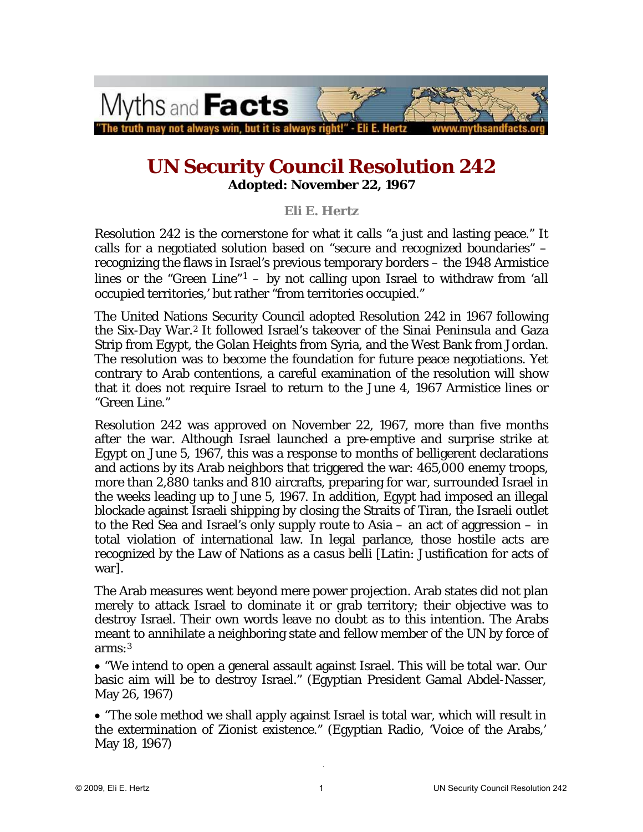

# **UN Security Council Resolution 242 Adopted: November 22, 1967**

**Eli E. Hertz** 

Resolution 242 is the cornerstone for what it calls "a just and lasting peace." It calls for a negotiated solution based on "secure and recognized boundaries" – recognizing the flaws in Israel's previous temporary borders – the 1948 Armistice lines or the "Green Line"[1](#page-6-0) – by not calling upon Israel to withdraw from '*all*  occupied territories,' but rather "from territories occupied."

The United Nations Security Council adopted Resolution 242 in 1967 following the Six-Day War.[2](#page-6-1) It followed Israel's takeover of the Sinai Peninsula and Gaza Strip from Egypt, the Golan Heights from Syria, and the West Bank from Jordan. The resolution was to become the foundation for future peace negotiations. Yet contrary to Arab contentions, a careful examination of the resolution will show that it does not require Israel to return to the June 4, 1967 Armistice lines or "Green Line."

Resolution 242 was approved on November 22, 1967, more than five months after the war. Although Israel launched a pre-emptive and surprise strike at Egypt on June 5, 1967, this was a response to months of belligerent declarations and actions by its Arab neighbors that triggered the war: 465,000 enemy troops, more than 2,880 tanks and 810 aircrafts, preparing for war, surrounded Israel in the weeks leading up to June 5, 1967. In addition, Egypt had imposed an illegal blockade against Israeli shipping by closing the Straits of Tiran, the Israeli outlet to the Red Sea and Israel's only supply route to Asia – an act of aggression – in total violation of international law. In legal parlance, those hostile acts are recognized by the Law of Nations as a *casus belli* [Latin: Justification for acts of war].

The Arab measures went beyond mere power projection. Arab states did not plan merely to attack Israel to dominate it or grab territory; their objective was to destroy Israel. Their own words leave no doubt as to this intention. The Arabs meant to annihilate a neighboring state and fellow member of the UN by force of arms:[3](#page-6-1)

• "We intend to open a general assault against Israel. This will be total war. Our basic aim will be to destroy Israel." (Egyptian President Gamal Abdel-Nasser, May 26, 1967)

• "The sole method we shall apply against Israel is total war, which will result in the extermination of Zionist existence." (Egyptian Radio, 'Voice of the Arabs,' May 18, 1967)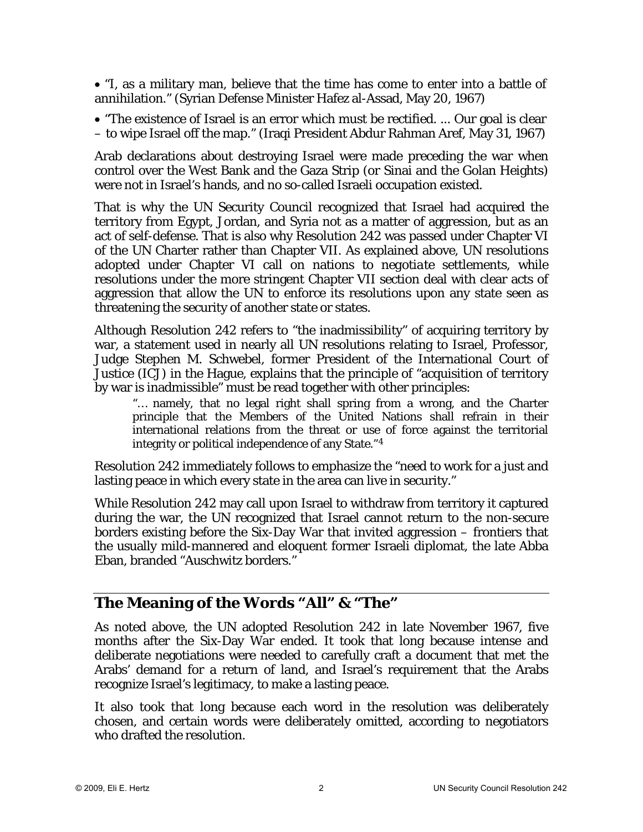• "I, as a military man, believe that the time has come to enter into a battle of annihilation." (Syrian Defense Minister Hafez al-Assad, May 20, 1967)

• "The existence of Israel is an error which must be rectified. ... Our goal is clear – to wipe Israel off the map." (Iraqi President Abdur Rahman Aref, May 31, 1967)

Arab declarations about destroying Israel were made preceding the war when control over the West Bank and the Gaza Strip (or Sinai and the Golan Heights) were not in Israel's hands, and no so-called Israeli occupation existed.

That is why the UN Security Council recognized that Israel had acquired the territory from Egypt, Jordan, and Syria not as a matter of aggression, but as an act of self-defense. That is also why Resolution 242 was passed under Chapter VI of the UN Charter rather than Chapter VII. As explained above, UN resolutions adopted under Chapter VI call on nations to *negotiate* settlements, while resolutions under the more stringent Chapter VII section deal with clear acts of aggression that allow the UN to enforce its resolutions upon any state seen as threatening the security of another state or states.

Although Resolution 242 refers to "the inadmissibility" of acquiring territory by war, a statement used in nearly all UN resolutions relating to Israel, Professor, Judge Stephen M. Schwebel, former President of the International Court of Justice (ICJ) in the Hague, explains that the principle of "acquisition of territory by war is inadmissible" must be read together with other principles:

"… namely, that no legal right shall spring from a wrong, and the Charter principle that the Members of the United Nations shall refrain in their international relations from the threat or use of force against the territorial integrity or political independence of any State."[4](#page-6-1)

Resolution 242 immediately follows to emphasize the "need to work for a just and lasting peace in which every state in the area can live in security."

While Resolution 242 may call upon Israel to withdraw from territory it captured during the war, the UN recognized that Israel cannot return to the non-secure borders existing before the Six-Day War that invited aggression – frontiers that the usually mild-mannered and eloquent former Israeli diplomat, the late Abba Eban, branded "Auschwitz borders."

## **The Meaning of the Words "All" & "The"**

As noted above, the UN adopted Resolution 242 in late November 1967, five months after the Six-Day War ended. It took that long because intense and deliberate negotiations were needed to carefully craft a document that met the Arabs' demand for a return of land, and Israel's requirement that the Arabs recognize Israel's legitimacy, to make a lasting peace.

It also took that long because each word in the resolution was deliberately chosen, and certain words were deliberately omitted, according to negotiators who drafted the resolution.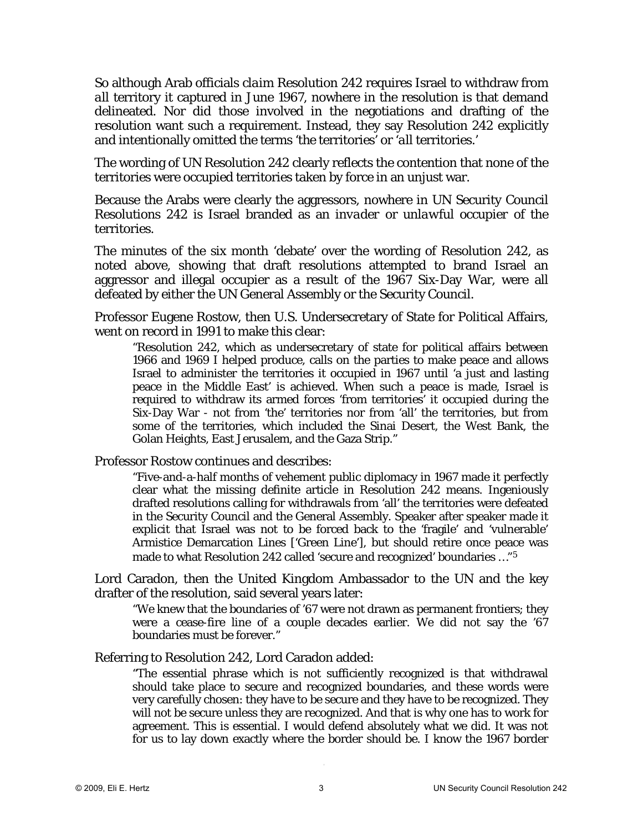So although Arab officials *claim* Resolution 242 requires Israel to withdraw from *all* territory it captured in June 1967, nowhere in the resolution is that demand delineated. Nor did those involved in the negotiations and drafting of the resolution want such a requirement. Instead, they say Resolution 242 explicitly and intentionally omitted the terms '*the* territories' or '*all* territories.'

The wording of UN Resolution 242 clearly reflects the contention that none of the territories were occupied territories taken by force in an unjust war.

Because the Arabs were clearly the aggressors, nowhere in UN Security Council Resolutions 242 is Israel branded as an *invader* or *unlawful occupier* of the territories.

The minutes of the six month 'debate' over the wording of Resolution 242, as noted above, showing that draft resolutions attempted to brand Israel an aggressor and illegal occupier as a result of the 1967 Six-Day War, were all defeated by either the UN General Assembly or the Security Council.

Professor Eugene Rostow, then U.S. Undersecretary of State for Political Affairs, went on record in 1991 to make this clear:

"Resolution 242, which as undersecretary of state for political affairs between 1966 and 1969 I helped produce, calls on the parties to make peace and allows Israel to administer the territories it occupied in 1967 until 'a just and lasting peace in the Middle East' is achieved. When such a peace is made, Israel is required to withdraw its armed forces 'from territories' it occupied during the Six-Day War - not from 'the' territories nor from 'all' the territories, but from some of the territories, which included the Sinai Desert, the West Bank, the Golan Heights, East Jerusalem, and the Gaza Strip."

#### Professor Rostow continues and describes:

"Five-and-a-half months of vehement public diplomacy in 1967 made it perfectly clear what the missing definite article in Resolution 242 means. Ingeniously drafted resolutions calling for withdrawals from 'all' the territories were defeated in the Security Council and the General Assembly. Speaker after speaker made it explicit that Israel was not to be forced back to the 'fragile' and 'vulnerable' Armistice Demarcation Lines ['Green Line'], but should retire once peace was made to what Resolution 242 called 'secure and recognized' boundaries …"[5](#page-6-1)

Lord Caradon, then the United Kingdom Ambassador to the UN and the key drafter of the resolution, said several years later:

"We knew that the boundaries of '67 were not drawn as permanent frontiers; they were a cease-fire line of a couple decades earlier. We did not say the '67 boundaries must be forever."

#### Referring to Resolution 242, Lord Caradon added:

"The essential phrase which is not sufficiently recognized is that withdrawal should take place to secure and recognized boundaries, and these words were very carefully chosen: they have to be secure and they have to be recognized. They will not be secure unless they are recognized. And that is why one has to work for agreement. This is essential. I would defend absolutely what we did. It was not for us to lay down exactly where the border should be. I know the 1967 border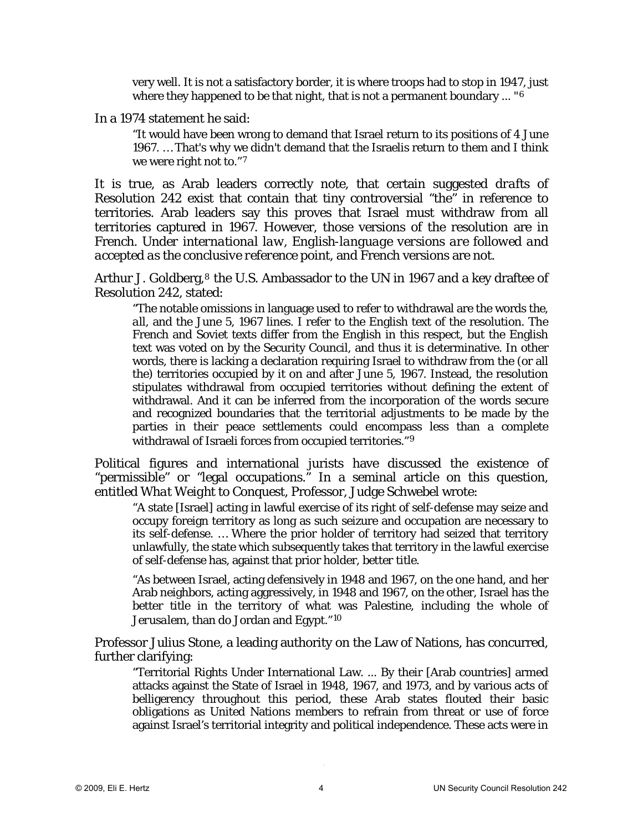very well. It is not a satisfactory border, it is where troops had to stop in 1947, just where they happened to be that night, that is not a permanent boundary ... " $6$ 

In a 1974 statement he said:

"It would have been wrong to demand that Israel return to its positions of 4 June 1967. … That's why we didn't demand that the Israelis return to them and I think we were right not to."[7](#page-6-1)

It is true, as Arab leaders correctly note, that certain suggested *drafts* of Resolution 242 exist that contain that tiny controversial "the" in reference to territories. Arab leaders say this proves that Israel must withdraw from all territories captured in 1967. However, those versions of the resolution are in French. *Under international law, English-language versions are followed and accepted as the conclusive reference point*, and French versions are not.

Arthur J. Goldberg,<sup>[8](#page-6-1)</sup> the U.S. Ambassador to the UN in 1967 and a key draftee of Resolution 242, stated:

"The notable omissions in language used to refer to withdrawal are the words *the*, *all,* and the *June 5, 1967 lines*. I refer to the English text of the resolution. The French and Soviet texts differ from the English in this respect, but the English text was voted on by the Security Council, and thus it is determinative. In other words, there is lacking a declaration requiring Israel to withdraw from the (or all the) territories occupied by it on and after June 5, 1967. Instead, the resolution stipulates withdrawal from occupied territories without defining the extent of withdrawal. And it can be inferred from the incorporation of the words secure and recognized boundaries that the territorial adjustments to be made by the parties in their peace settlements could encompass less than a complete withdrawal of Israeli forces from occupied territories."<sup>[9](#page-6-1)</sup>

Political figures and international jurists have discussed the existence of "permissible" or "legal occupations." In a seminal article on this question, entitled *What Weight to Conquest,* Professor, Judge Schwebel wrote:

"A state [Israel] acting in lawful exercise of its right of self-defense may seize and occupy foreign territory as long as such seizure and occupation are necessary to its self-defense. … Where the prior holder of territory had seized that territory unlawfully, the state which subsequently takes that territory in the lawful exercise of self-defense has, against that prior holder, *better title*.

"As between Israel, acting defensively in 1948 and 1967, on the one hand, and her Arab neighbors, acting aggressively, in 1948 and 1967, on the other, Israel has the better title in the territory of what was Palestine, including the *whole of Jerusalem*, than do Jordan and Egypt."[10](#page-6-1)

Professor Julius Stone, a leading authority on the Law of Nations, has concurred, further clarifying:

"Territorial Rights Under International Law. ... By their [Arab countries] armed attacks against the State of Israel in 1948, 1967, and 1973, and by various acts of belligerency throughout this period, these Arab states flouted their basic obligations as United Nations members to refrain from threat or use of force against Israel's territorial integrity and political independence. These acts were in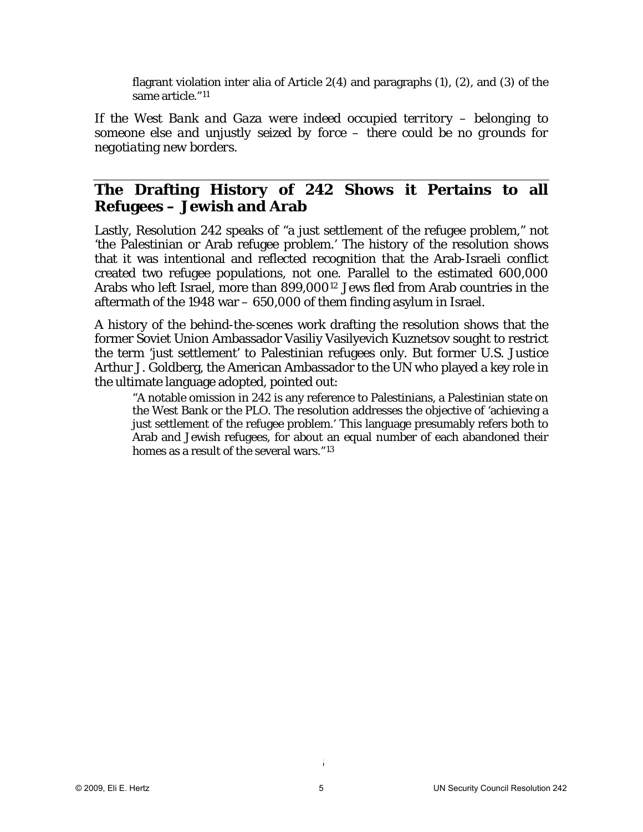flagrant violation inter alia of Article  $2(4)$  and paragraphs  $(1)$ ,  $(2)$ , and  $(3)$  of the same article."[11](#page-6-1)

*If the West Bank and Gaza were indeed occupied territory – belonging to someone else and unjustly seized by force – there could be no grounds for negotiating new borders.* 

# **The Drafting History of 242 Shows it Pertains to all Refugees – Jewish and Arab**

Lastly, Resolution 242 speaks of "a just settlement of the refugee problem," not 'the Palestinian or Arab refugee problem.' The history of the resolution shows that it was intentional and reflected recognition that the Arab-Israeli conflict created two refugee populations, not one. Parallel to the estimated 600,000 Arabs who left Israel, more than 899,000[12](#page-6-1) Jews fled from Arab countries in the aftermath of the 1948 war – 650,000 of them finding asylum in Israel.

A history of the behind-the-scenes work drafting the resolution shows that the former Soviet Union Ambassador Vasiliy Vasilyevich Kuznetsov sought to restrict the term 'just settlement' to Palestinian refugees only. But former U.S. Justice Arthur J. Goldberg, the American Ambassador to the UN who played a key role in the ultimate language adopted, pointed out:

"A notable omission in 242 is any reference to Palestinians, a Palestinian state on the West Bank or the PLO. The resolution addresses the objective of 'achieving a just settlement of the refugee problem.' This language presumably refers both to Arab and Jewish refugees, for about an equal number of each abandoned their homes as a result of the several wars."[13](#page-6-1)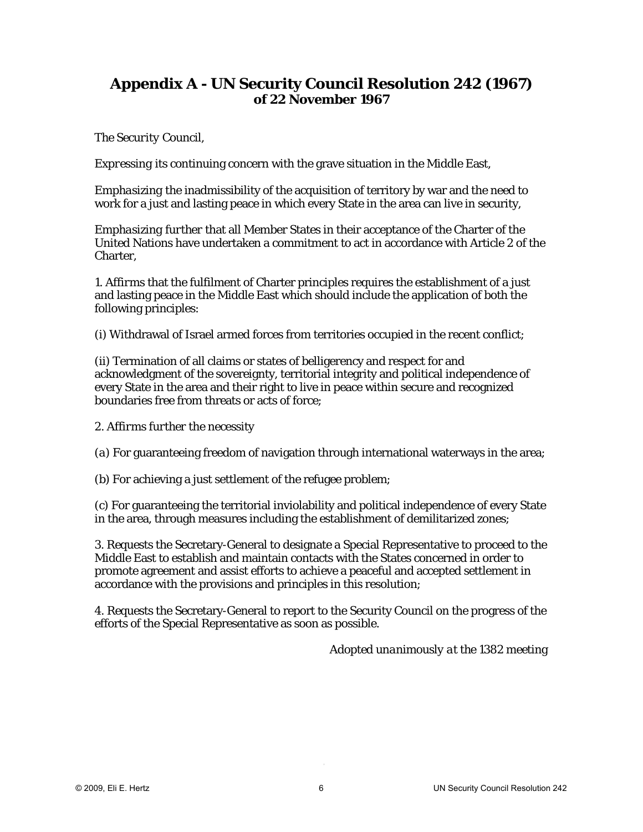### **Appendix A - UN Security Council Resolution 242 (1967) of 22 November 1967**

*The Security Council,*

*Expressing* its continuing concern with the grave situation in the Middle East,

*Emphasizing* the inadmissibility of the acquisition of territory by war and the need to work for a just and lasting peace in which every State in the area can live in security,

*Emphasizing further* that all Member States in their acceptance of the Charter of the United Nations have undertaken a commitment to act in accordance with Article 2 of the Charter,

1. *Affirms* that the fulfilment of Charter principles requires the establishment of a just and lasting peace in the Middle East which should include the application of both the following principles:

(i) Withdrawal of Israel armed forces from territories occupied in the recent conflict;

(ii) Termination of all claims or states of belligerency and respect for and acknowledgment of the sovereignty, territorial integrity and political independence of every State in the area and their right to live in peace within secure and recognized boundaries free from threats or acts of force;

#### 2. *Affirms further* the necessity

*(a)* For guaranteeing freedom of navigation through international waterways in the area;

*(b)* For achieving a just settlement of the refugee problem;

*(c)* For guaranteeing the territorial inviolability and political independence of every State in the area, through measures including the establishment of demilitarized zones;

3. *Requests* the Secretary-General to designate a Special Representative to proceed to the Middle East to establish and maintain contacts with the States concerned in order to promote agreement and assist efforts to achieve a peaceful and accepted settlement in accordance with the provisions and principles in this resolution;

4. *Requests* the Secretary-General to report to the Security Council on the progress of the efforts of the Special Representative as soon as possible.

*Adopted unanimously at the 1382 meeting*